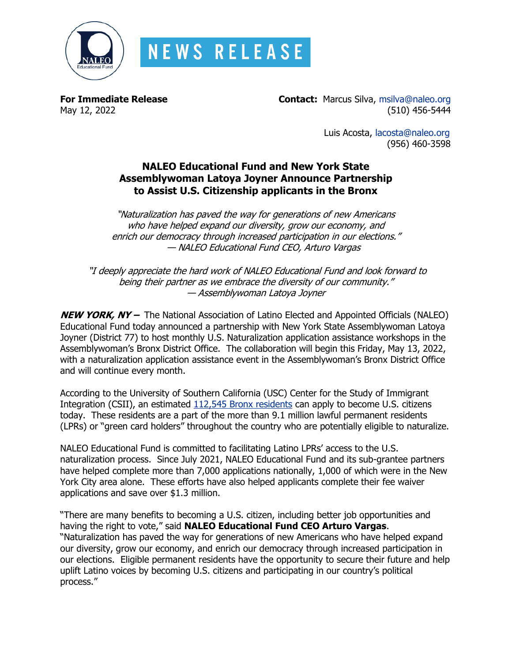

## **NEWS RELEASE**

**For Immediate Release Contact:** Marcus Silva, [msilva@naleo.org](mailto:msilva@naleo.org)<br>May 12, 2022 (510) 156-5444  $(510)$  456-5444

> Luis Acosta, [lacosta@naleo.org](mailto:lacosta@naleo.org) (956) 460-3598

## **NALEO Educational Fund and New York State Assemblywoman Latoya Joyner Announce Partnership to Assist U.S. Citizenship applicants in the Bronx**

"Naturalization has paved the way for generations of new Americans who have helped expand our diversity, grow our economy, and enrich our democracy through increased participation in our elections." — NALEO Educational Fund CEO, Arturo Vargas

"I deeply appreciate the hard work of NALEO Educational Fund and look forward to being their partner as we embrace the diversity of our community." — Assemblywoman Latoya Joyner

**NEW YORK, NY –** The National Association of Latino Elected and Appointed Officials (NALEO) Educational Fund today announced a partnership with New York State Assemblywoman Latoya Joyner (District 77) to host monthly U.S. Naturalization application assistance workshops in the Assemblywoman's Bronx District Office. The collaboration will begin this Friday, May 13, 2022, with a naturalization application assistance event in the Assemblywoman's Bronx District Office and will continue every month.

According to the University of Southern California (USC) Center for the Study of Immigrant Integration (CSII), an estimated [112,545 Bronx residents](https://dornsife.usc.edu/csii/eligible-to-naturalize-map/) can apply to become U.S. citizens today. These residents are a part of the more than 9.1 million lawful permanent residents (LPRs) or "green card holders" throughout the country who are potentially eligible to naturalize.

NALEO Educational Fund is committed to facilitating Latino LPRs' access to the U.S. naturalization process. Since July 2021, NALEO Educational Fund and its sub-grantee partners have helped complete more than 7,000 applications nationally, 1,000 of which were in the New York City area alone. These efforts have also helped applicants complete their fee waiver applications and save over \$1.3 million.

"There are many benefits to becoming a U.S. citizen, including better job opportunities and having the right to vote," said **NALEO Educational Fund CEO Arturo Vargas**. "Naturalization has paved the way for generations of new Americans who have helped expand our diversity, grow our economy, and enrich our democracy through increased participation in our elections. Eligible permanent residents have the opportunity to secure their future and help uplift Latino voices by becoming U.S. citizens and participating in our country's political process."